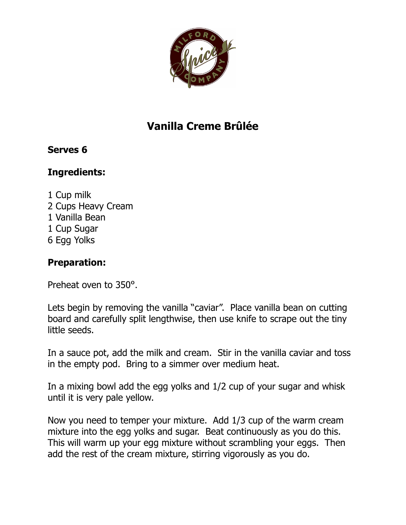

## **Vanilla Creme Brûlée**

## **Serves 6**

## **Ingredients:**

1 Cup milk 2 Cups Heavy Cream 1 Vanilla Bean 1 Cup Sugar 6 Egg Yolks

## **Preparation:**

Preheat oven to 350º.

Lets begin by removing the vanilla "caviar". Place vanilla bean on cutting board and carefully split lengthwise, then use knife to scrape out the tiny little seeds.

In a sauce pot, add the milk and cream. Stir in the vanilla caviar and toss in the empty pod. Bring to a simmer over medium heat.

In a mixing bowl add the egg yolks and 1/2 cup of your sugar and whisk until it is very pale yellow.

Now you need to temper your mixture. Add 1/3 cup of the warm cream mixture into the egg yolks and sugar. Beat continuously as you do this. This will warm up your egg mixture without scrambling your eggs. Then add the rest of the cream mixture, stirring vigorously as you do.